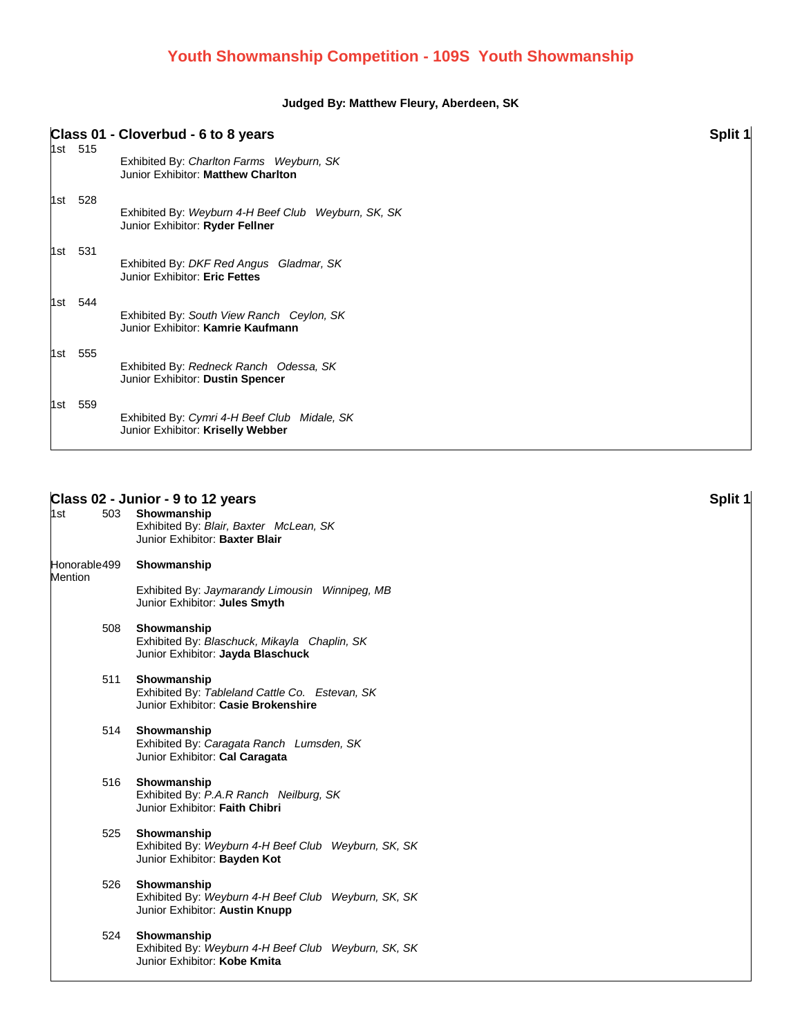## **Judged By: Matthew Fleury, Aberdeen, SK**

|       |         | Class 01 - Cloverbud - 6 to 8 years                                                    | Split 1 |
|-------|---------|----------------------------------------------------------------------------------------|---------|
|       | 1st 515 | Exhibited By: Charlton Farms Weyburn, SK<br>Junior Exhibitor: Matthew Charlton         |         |
| 1st l | 528     | Exhibited By: Weyburn 4-H Beef Club Weyburn, SK, SK<br>Junior Exhibitor: Ryder Fellner |         |
| 1st - | 531     | Exhibited By: DKF Red Angus Gladmar, SK<br>Junior Exhibitor: Eric Fettes               |         |
| 1st l | 544     | Exhibited By: South View Ranch Ceylon, SK<br>Junior Exhibitor: Kamrie Kaufmann         |         |
| 1st   | 555     | Exhibited By: Redneck Ranch Odessa, SK<br>Junior Exhibitor: Dustin Spencer             |         |
| 1st   | 559     | Exhibited By: Cymri 4-H Beef Club<br>Midale, SK<br>Junior Exhibitor: Kriselly Webber   |         |

## **Class 02 - Junior - 9 to 12 years Split 1**

| 1st            | 503 Showmanship<br>Exhibited By: Blair, Baxter McLean, SK<br>Junior Exhibitor: Baxter Blair          |
|----------------|------------------------------------------------------------------------------------------------------|
| <b>Mention</b> | Honorable499 Showmanship                                                                             |
|                | Exhibited By: Jaymarandy Limousin Winnipeg, MB<br>Junior Exhibitor: Jules Smyth                      |
| 508            | Showmanship<br>Exhibited By: Blaschuck, Mikayla Chaplin, SK<br>Junior Exhibitor: Jayda Blaschuck     |
| 511            | Showmanship<br>Exhibited By: Tableland Cattle Co. Estevan, SK<br>Junior Exhibitor: Casie Brokenshire |
| 514            | Showmanship<br>Exhibited By: Caragata Ranch Lumsden, SK<br>Junior Exhibitor: Cal Caragata            |
| 516            | Showmanship<br>Exhibited By: P.A.R Ranch Neilburg, SK<br>Junior Exhibitor: Faith Chibri              |
| 525            | Showmanship<br>Exhibited By: Weyburn 4-H Beef Club Weyburn, SK, SK<br>Junior Exhibitor: Bayden Kot   |
| 526            | Showmanship<br>Exhibited By: Weyburn 4-H Beef Club Weyburn, SK, SK<br>Junior Exhibitor: Austin Knupp |
| 524            | Showmanship<br>Exhibited By: Weyburn 4-H Beef Club Weyburn, SK, SK<br>Junior Exhibitor: Kobe Kmita   |
|                |                                                                                                      |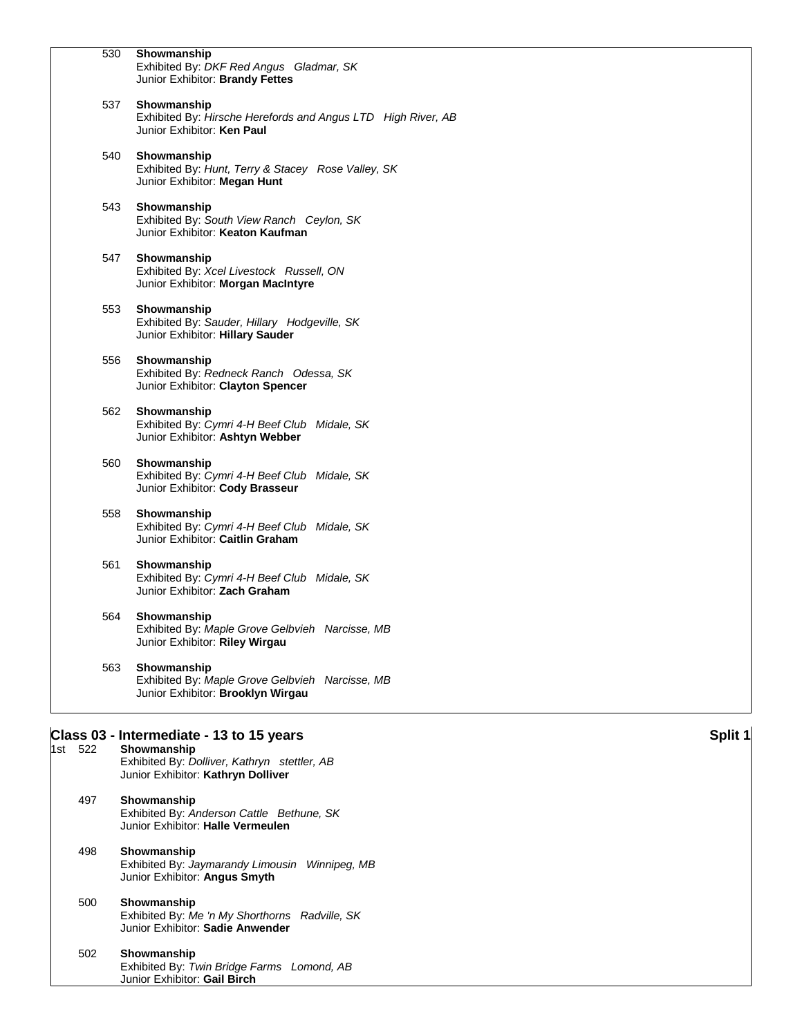|         | 530 | Showmanship<br>Exhibited By: DKF Red Angus Gladmar, SK                                                    |         |
|---------|-----|-----------------------------------------------------------------------------------------------------------|---------|
|         |     | Junior Exhibitor: Brandy Fettes                                                                           |         |
|         | 537 | Showmanship<br>Exhibited By: Hirsche Herefords and Angus LTD High River, AB<br>Junior Exhibitor: Ken Paul |         |
|         | 540 | Showmanship<br>Exhibited By: Hunt, Terry & Stacey Rose Valley, SK<br>Junior Exhibitor: Megan Hunt         |         |
|         | 543 | Showmanship<br>Exhibited By: South View Ranch Ceylon, SK<br>Junior Exhibitor: Keaton Kaufman              |         |
|         | 547 | Showmanship<br>Exhibited By: Xcel Livestock Russell, ON<br>Junior Exhibitor: Morgan MacIntyre             |         |
|         | 553 | Showmanship<br>Exhibited By: Sauder, Hillary Hodgeville, SK<br>Junior Exhibitor: Hillary Sauder           |         |
|         | 556 | Showmanship<br>Exhibited By: Redneck Ranch Odessa, SK<br>Junior Exhibitor: Clayton Spencer                |         |
|         | 562 | Showmanship<br>Exhibited By: Cymri 4-H Beef Club Midale, SK<br>Junior Exhibitor: Ashtyn Webber            |         |
|         | 560 | Showmanship<br>Exhibited By: Cymri 4-H Beef Club Midale, SK<br>Junior Exhibitor: Cody Brasseur            |         |
|         | 558 | Showmanship<br>Exhibited By: Cymri 4-H Beef Club Midale, SK<br>Junior Exhibitor: Caitlin Graham           |         |
|         | 561 | Showmanship<br>Exhibited By: Cymri 4-H Beef Club Midale, SK<br>Junior Exhibitor: Zach Graham              |         |
|         | 564 | Showmanship<br>Exhibited By: Maple Grove Gelbvieh Narcisse, MB<br>Junior Exhibitor: Riley Wirgau          |         |
|         | 563 | Showmanship<br>Exhibited By: Maple Grove Gelbvieh Narcisse, MB<br>Junior Exhibitor: Brooklyn Wirgau       |         |
|         |     | Class 03 - Intermediate - 13 to 15 years                                                                  | Split 1 |
| 1st 522 |     | Showmanship<br>Exhibited By: Dolliver, Kathryn stettler, AB<br>Junior Exhibitor: Kathryn Dolliver         |         |
| 497     |     | Showmanship<br>Exhibited By: Anderson Cattle Bethune, SK<br>Junior Exhibitor: Halle Vermeulen             |         |
| 498     |     | Showmanship<br>Exhibited By: Jaymarandy Limousin Winnipeg, MB<br>Junior Exhibitor: Angus Smyth            |         |
| 500     |     | Showmanship<br>Exhibited By: Me 'n My Shorthorns Radville, SK<br>Junior Exhibitor: Sadie Anwender         |         |
| 502     |     | Showmanship<br>Exhibited By: Twin Bridge Farms Lomond, AB<br>Junior Exhibitor: Gail Birch                 |         |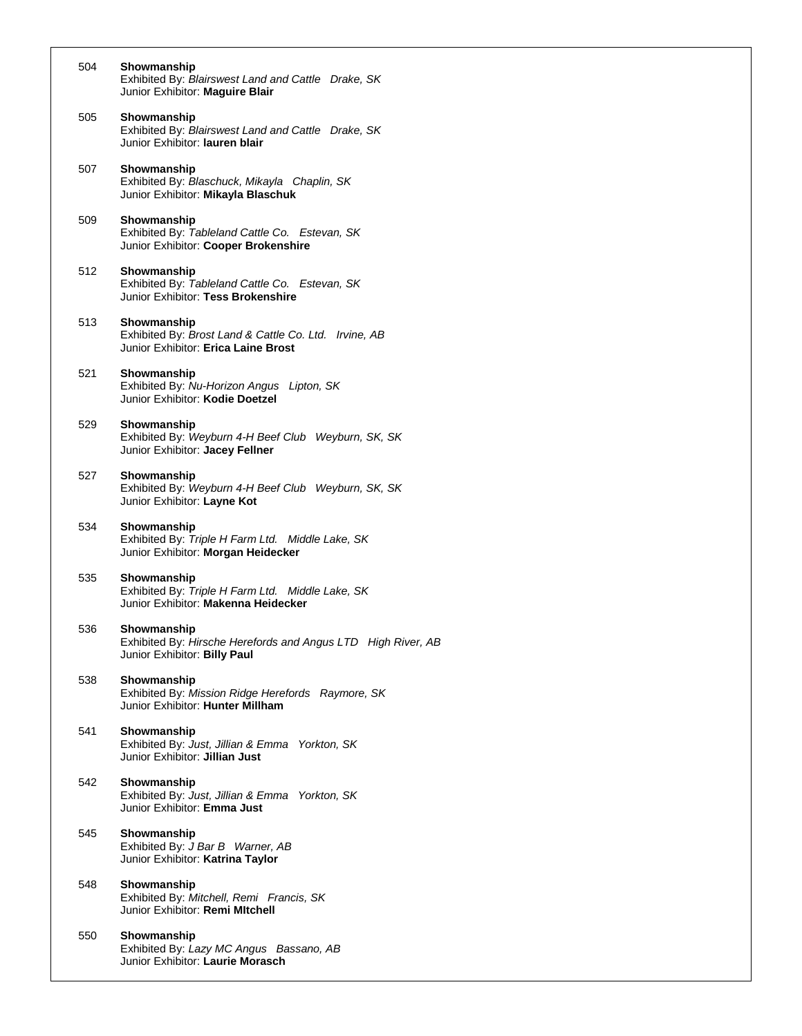| 504 | Showmanship<br>Exhibited By: Blairswest Land and Cattle Drake, SK<br>Junior Exhibitor: Maguire Blair        |
|-----|-------------------------------------------------------------------------------------------------------------|
| 505 | Showmanship<br>Exhibited By: Blairswest Land and Cattle Drake, SK<br>Junior Exhibitor: lauren blair         |
| 507 | Showmanship<br>Exhibited By: Blaschuck, Mikayla Chaplin, SK<br>Junior Exhibitor: Mikayla Blaschuk           |
| 509 | Showmanship<br>Exhibited By: Tableland Cattle Co. Estevan, SK<br>Junior Exhibitor: Cooper Brokenshire       |
| 512 | Showmanship<br>Exhibited By: Tableland Cattle Co. Estevan, SK<br>Junior Exhibitor: Tess Brokenshire         |
| 513 | Showmanship<br>Exhibited By: Brost Land & Cattle Co. Ltd. Irvine, AB<br>Junior Exhibitor: Erica Laine Brost |
| 521 | Showmanship<br>Exhibited By: Nu-Horizon Angus Lipton, SK<br>Junior Exhibitor: Kodie Doetzel                 |
| 529 | Showmanship<br>Exhibited By: Weyburn 4-H Beef Club Weyburn, SK, SK<br>Junior Exhibitor: Jacey Fellner       |
| 527 | Showmanship<br>Exhibited By: Weyburn 4-H Beef Club Weyburn, SK, SK<br>Junior Exhibitor: Layne Kot           |
| 534 | Showmanship<br>Exhibited By: Triple H Farm Ltd. Middle Lake, SK<br>Junior Exhibitor: Morgan Heidecker       |
| 535 | Showmanship<br>Exhibited By: Triple H Farm Ltd. Middle Lake, SK<br>Junior Exhibitor: Makenna Heidecker      |
| 536 | Showmanship<br>Exhibited By: Hirsche Herefords and Angus LTD High River, AB<br>Junior Exhibitor: Billy Paul |
| 538 | Showmanship<br>Exhibited By: Mission Ridge Herefords Raymore, SK<br>Junior Exhibitor: Hunter Millham        |
| 541 | Showmanship<br>Exhibited By: Just, Jillian & Emma Yorkton, SK<br>Junior Exhibitor: Jillian Just             |
| 542 | Showmanship<br>Exhibited By: Just, Jillian & Emma Yorkton, SK<br>Junior Exhibitor: Emma Just                |
| 545 | Showmanship<br>Exhibited By: J Bar B Warner, AB<br>Junior Exhibitor: Katrina Taylor                         |
| 548 | Showmanship<br>Exhibited By: Mitchell, Remi Francis, SK<br>Junior Exhibitor: Remi Mitchell                  |
| 550 | Showmanship<br>Exhibited By: Lazy MC Angus Bassano, AB<br>Junior Exhibitor: Laurie Morasch                  |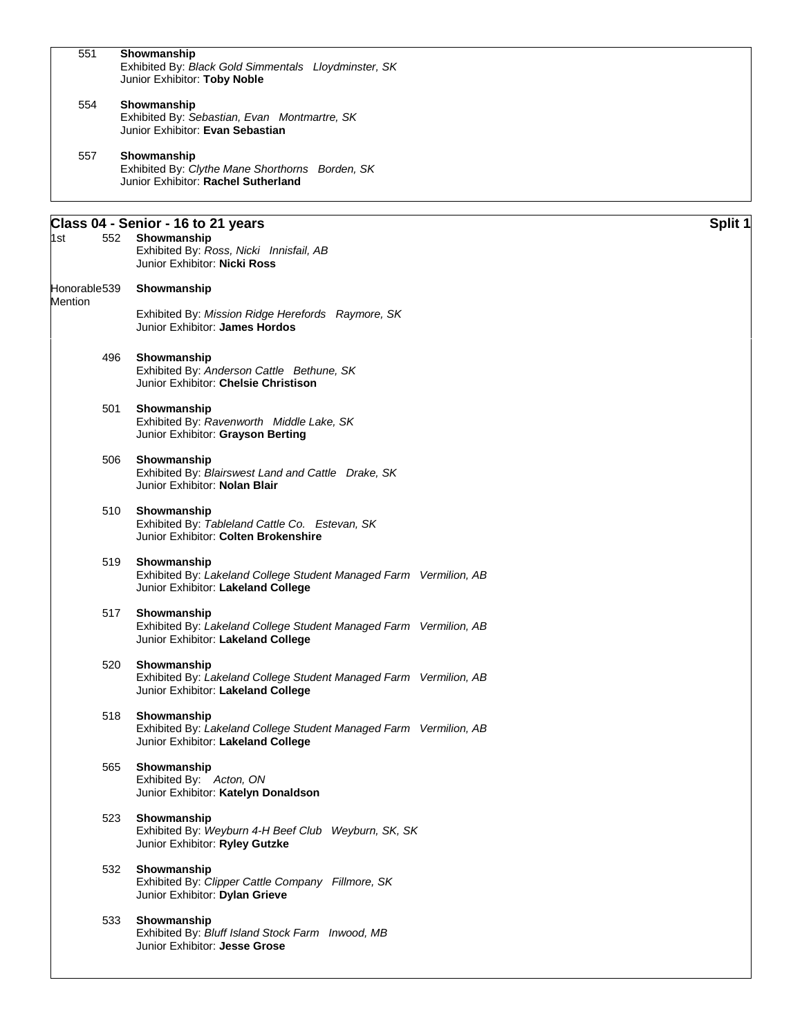| 551            |     | Showmanship<br>Exhibited By: Black Gold Simmentals Lloydminster, SK<br>Junior Exhibitor: Toby Noble                          |         |
|----------------|-----|------------------------------------------------------------------------------------------------------------------------------|---------|
| 554            |     | Showmanship<br>Exhibited By: Sebastian, Evan Montmartre, SK<br>Junior Exhibitor: Evan Sebastian                              |         |
| 557            |     | Showmanship<br>Exhibited By: Clythe Mane Shorthorns Borden, SK<br>Junior Exhibitor: Rachel Sutherland                        |         |
| 1st            | 552 | Class 04 - Senior - 16 to 21 years<br>Showmanship<br>Exhibited By: Ross, Nicki Innisfail, AB<br>Junior Exhibitor: Nicki Ross | Split 1 |
| Honorable539   |     | Showmanship                                                                                                                  |         |
| <b>Mention</b> |     | Exhibited By: Mission Ridge Herefords Raymore, SK<br>Junior Exhibitor: James Hordos                                          |         |
|                | 496 | Showmanship<br>Exhibited By: Anderson Cattle Bethune, SK<br>Junior Exhibitor: Chelsie Christison                             |         |
|                | 501 | Showmanship<br>Exhibited By: Ravenworth Middle Lake, SK<br>Junior Exhibitor: Grayson Berting                                 |         |
|                | 506 | Showmanship<br>Exhibited By: Blairswest Land and Cattle Drake, SK<br>Junior Exhibitor: Nolan Blair                           |         |
|                | 510 | Showmanship<br>Exhibited By: Tableland Cattle Co. Estevan, SK<br>Junior Exhibitor: Colten Brokenshire                        |         |
|                | 519 | Showmanship<br>Exhibited By: Lakeland College Student Managed Farm Vermilion, AB<br>Junior Exhibitor: Lakeland College       |         |
|                | 517 | Showmanship<br>Exhibited By: Lakeland College Student Managed Farm Vermilion, AB<br>Junior Exhibitor: Lakeland College       |         |
|                | 520 | Showmanship<br>Exhibited By: Lakeland College Student Managed Farm Vermilion, AB<br>Junior Exhibitor: Lakeland College       |         |
|                | 518 | Showmanship<br>Exhibited By: Lakeland College Student Managed Farm Vermilion, AB<br>Junior Exhibitor: Lakeland College       |         |
|                | 565 | Showmanship<br>Exhibited By: Acton, ON<br>Junior Exhibitor: Katelyn Donaldson                                                |         |
|                | 523 | Showmanship<br>Exhibited By: Weyburn 4-H Beef Club Weyburn, SK, SK<br>Junior Exhibitor: Ryley Gutzke                         |         |
|                | 532 | Showmanship<br>Exhibited By: Clipper Cattle Company Fillmore, SK<br>Junior Exhibitor: Dylan Grieve                           |         |
|                | 533 | Showmanship<br>Exhibited By: Bluff Island Stock Farm Inwood, MB<br>Junior Exhibitor: Jesse Grose                             |         |
|                |     |                                                                                                                              |         |